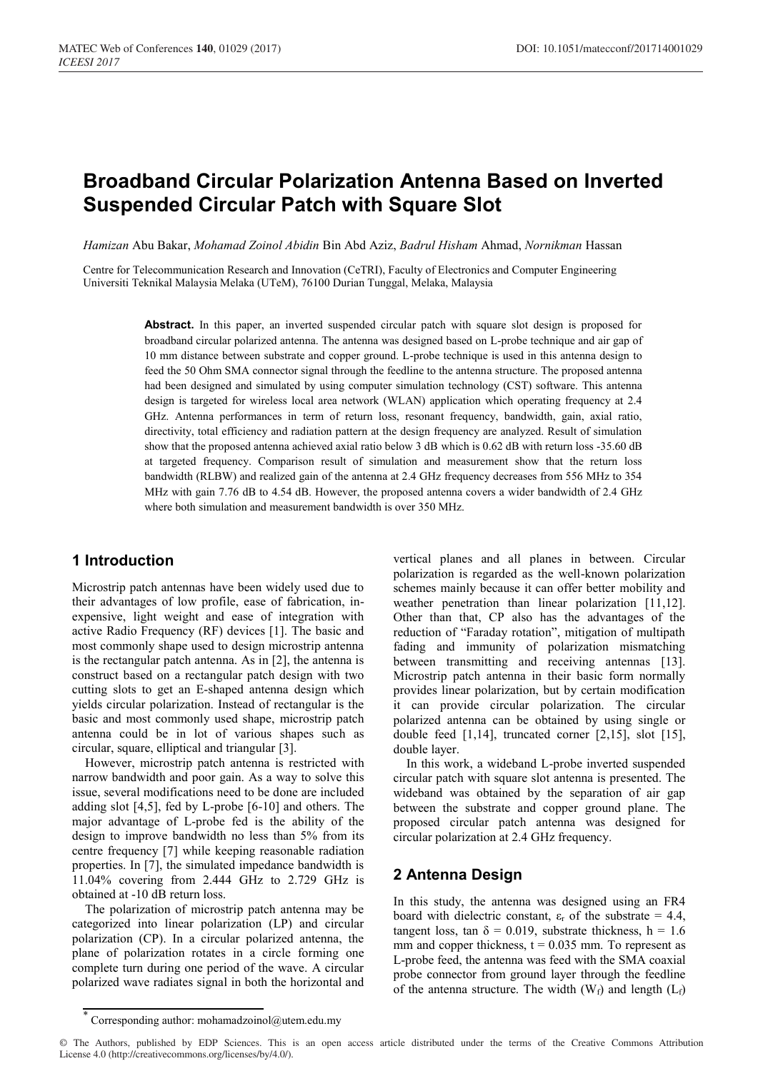# **Broadband Circular Polarization Antenna Based on Inverted Suspended Circular Patch with Square Slot**

*Hamizan* Abu Bakar, *Mohamad Zoinol Abidin* Bin Abd Aziz, *Badrul Hisham* Ahmad, *Nornikman* Hassan

Centre for Telecommunication Research and Innovation (CeTRI), Faculty of Electronics and Computer Engineering Universiti Teknikal Malaysia Melaka (UTeM), 76100 Durian Tunggal, Melaka, Malaysia

> **Abstract.** In this paper, an inverted suspended circular patch with square slot design is proposed for broadband circular polarized antenna. The antenna was designed based on L-probe technique and air gap of 10 mm distance between substrate and copper ground. L-probe technique is used in this antenna design to feed the 50 Ohm SMA connector signal through the feedline to the antenna structure. The proposed antenna had been designed and simulated by using computer simulation technology (CST) software. This antenna design is targeted for wireless local area network (WLAN) application which operating frequency at 2.4 GHz. Antenna performances in term of return loss, resonant frequency, bandwidth, gain, axial ratio, directivity, total efficiency and radiation pattern at the design frequency are analyzed. Result of simulation show that the proposed antenna achieved axial ratio below 3 dB which is 0.62 dB with return loss -35.60 dB at targeted frequency. Comparison result of simulation and measurement show that the return loss bandwidth (RLBW) and realized gain of the antenna at 2.4 GHz frequency decreases from 556 MHz to 354 MHz with gain 7.76 dB to 4.54 dB. However, the proposed antenna covers a wider bandwidth of 2.4 GHz where both simulation and measurement bandwidth is over 350 MHz.

## **1 Introduction**

Microstrip patch antennas have been widely used due to their advantages of low profile, ease of fabrication, inexpensive, light weight and ease of integration with active Radio Frequency (RF) devices [1]. The basic and most commonly shape used to design microstrip antenna is the rectangular patch antenna. As in [2], the antenna is construct based on a rectangular patch design with two cutting slots to get an E-shaped antenna design which yields circular polarization. Instead of rectangular is the basic and most commonly used shape, microstrip patch antenna could be in lot of various shapes such as circular, square, elliptical and triangular [3].

However, microstrip patch antenna is restricted with narrow bandwidth and poor gain. As a way to solve this issue, several modifications need to be done are included adding slot [4,5], fed by L-probe [6-10] and others. The major advantage of L-probe fed is the ability of the design to improve bandwidth no less than 5% from its centre frequency [7] while keeping reasonable radiation properties. In [7], the simulated impedance bandwidth is 11.04% covering from 2.444 GHz to 2.729 GHz is obtained at -10 dB return loss.

The polarization of microstrip patch antenna may be categorized into linear polarization (LP) and circular polarization (CP). In a circular polarized antenna, the plane of polarization rotates in a circle forming one complete turn during one period of the wave. A circular polarized wave radiates signal in both the horizontal and

vertical planes and all planes in between. Circular polarization is regarded as the well-known polarization schemes mainly because it can offer better mobility and weather penetration than linear polarization [11,12]. Other than that, CP also has the advantages of the reduction of "Faraday rotation", mitigation of multipath fading and immunity of polarization mismatching between transmitting and receiving antennas [13]. Microstrip patch antenna in their basic form normally provides linear polarization, but by certain modification it can provide circular polarization. The circular polarized antenna can be obtained by using single or double feed [1,14], truncated corner [2,15], slot [15], double layer.

In this work, a wideband L-probe inverted suspended circular patch with square slot antenna is presented. The wideband was obtained by the separation of air gap between the substrate and copper ground plane. The proposed circular patch antenna was designed for circular polarization at 2.4 GHz frequency.

### **2 Antenna Design**

In this study, the antenna was designed using an FR4 board with dielectric constant,  $\varepsilon_r$  of the substrate = 4.4, tangent loss, tan  $\delta = 0.019$ , substrate thickness, h = 1.6 mm and copper thickness,  $t = 0.035$  mm. To represent as L-probe feed, the antenna was feed with the SMA coaxial probe connector from ground layer through the feedline of the antenna structure. The width  $(W_f)$  and length  $(L_f)$ 

© The Authors, published by EDP Sciences. This is an open access article distributed under the terms of the Creative Commons Attribution License 4.0 (http://creativecommons.org/licenses/by/4.0/).

<sup>\*</sup> Corresponding author: mohamadzoinol@utem.edu.my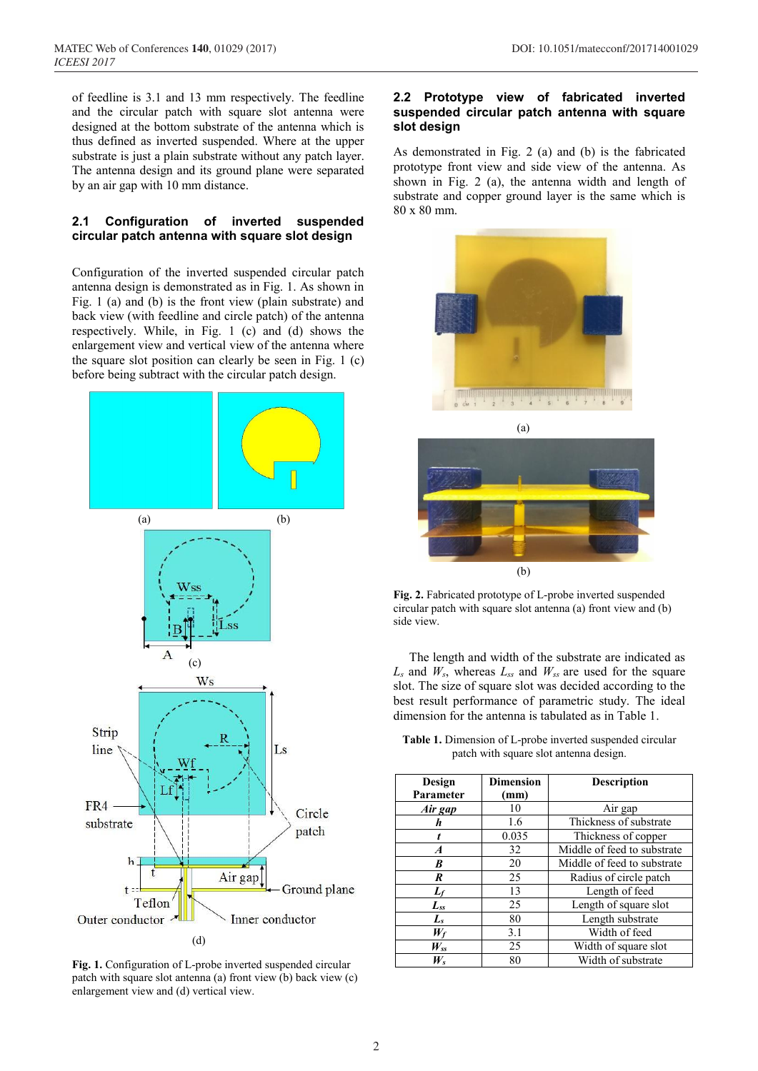of feedline is 3.1 and 13 mm respectively. The feedline and the circular patch with square slot antenna were designed at the bottom substrate of the antenna which is thus defined as inverted suspended. Where at the upper substrate is just a plain substrate without any patch layer. The antenna design and its ground plane were separated by an air gap with 10 mm distance.

#### **2.1 Configuration of inverted suspended circular patch antenna with square slot design**

Configuration of the inverted suspended circular patch antenna design is demonstrated as in Fig. 1. As shown in Fig. 1 (a) and (b) is the front view (plain substrate) and back view (with feedline and circle patch) of the antenna respectively. While, in Fig. 1 (c) and (d) shows the enlargement view and vertical view of the antenna where the square slot position can clearly be seen in Fig. 1 (c) before being subtract with the circular patch design.



**Fig. 1.** Configuration of L-probe inverted suspended circular patch with square slot antenna (a) front view (b) back view (c) enlargement view and (d) vertical view.

#### **2.2 Prototype view of fabricated inverted suspended circular patch antenna with square slot design**

As demonstrated in Fig. 2 (a) and (b) is the fabricated prototype front view and side view of the antenna. As shown in Fig. 2 (a), the antenna width and length of substrate and copper ground layer is the same which is 80 x 80 mm.

![](_page_1_Picture_9.jpeg)

![](_page_1_Figure_10.jpeg)

**Fig. 2.** Fabricated prototype of L-probe inverted suspended circular patch with square slot antenna (a) front view and (b) side view.

 The length and width of the substrate are indicated as *Ls* and *Ws*, whereas *Lss* and *Wss* are used for the square slot. The size of square slot was decided according to the best result performance of parametric study. The ideal dimension for the antenna is tabulated as in Table 1.

**Table 1.** Dimension of L-probe inverted suspended circular patch with square slot antenna design.

| Design<br>Parameter   | <b>Dimension</b><br>(mm) | <b>Description</b>          |  |
|-----------------------|--------------------------|-----------------------------|--|
| Air gap               | 10                       | Air gap                     |  |
| h                     | 1.6                      | Thickness of substrate      |  |
|                       | 0.035                    | Thickness of copper         |  |
| $\boldsymbol{A}$      | 32                       | Middle of feed to substrate |  |
| B                     | 20                       | Middle of feed to substrate |  |
| R                     | 25                       | Radius of circle patch      |  |
| $L_f$                 | 13                       | Length of feed              |  |
| $\boldsymbol{L_{ss}}$ | 25                       | Length of square slot       |  |
| $L_{s}$               | 80                       | Length substrate            |  |
| $W_f$                 | 3.1                      | Width of feed               |  |
| $W_{ss}$              | 25                       | Width of square slot        |  |
| $W_{s}$               | 80                       | Width of substrate          |  |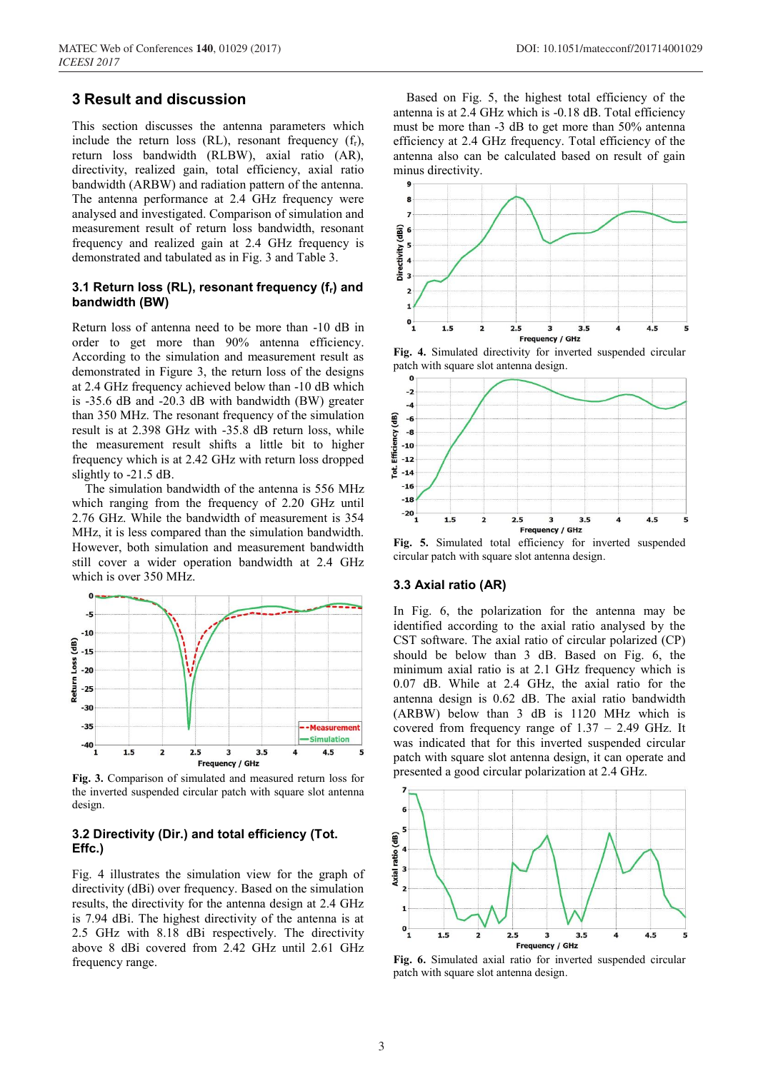## **3 Result and discussion**

This section discusses the antenna parameters which include the return loss (RL), resonant frequency  $(f_r)$ , return loss bandwidth (RLBW), axial ratio (AR), directivity, realized gain, total efficiency, axial ratio bandwidth (ARBW) and radiation pattern of the antenna. The antenna performance at 2.4 GHz frequency were analysed and investigated. Comparison of simulation and measurement result of return loss bandwidth, resonant frequency and realized gain at 2.4 GHz frequency is demonstrated and tabulated as in Fig. 3 and Table 3.

#### **3.1 Return loss (RL), resonant frequency (fr) and bandwidth (BW)**

Return loss of antenna need to be more than -10 dB in order to get more than 90% antenna efficiency. According to the simulation and measurement result as demonstrated in Figure 3, the return loss of the designs at 2.4 GHz frequency achieved below than -10 dB which is -35.6 dB and -20.3 dB with bandwidth (BW) greater than 350 MHz. The resonant frequency of the simulation result is at 2.398 GHz with -35.8 dB return loss, while the measurement result shifts a little bit to higher frequency which is at 2.42 GHz with return loss dropped slightly to -21.5 dB.

The simulation bandwidth of the antenna is 556 MHz which ranging from the frequency of 2.20 GHz until 2.76 GHz. While the bandwidth of measurement is 354 MHz, it is less compared than the simulation bandwidth. However, both simulation and measurement bandwidth still cover a wider operation bandwidth at 2.4 GHz which is over 350 MHz.

![](_page_2_Figure_6.jpeg)

**Fig. 3.** Comparison of simulated and measured return loss for the inverted suspended circular patch with square slot antenna design.

#### **3.2 Directivity (Dir.) and total efficiency (Tot. Effc.)**

Fig. 4 illustrates the simulation view for the graph of directivity (dBi) over frequency. Based on the simulation results, the directivity for the antenna design at 2.4 GHz is 7.94 dBi. The highest directivity of the antenna is at 2.5 GHz with 8.18 dBi respectively. The directivity above 8 dBi covered from 2.42 GHz until 2.61 GHz frequency range.

Based on Fig. 5, the highest total efficiency of the antenna is at 2.4 GHz which is -0.18 dB. Total efficiency must be more than -3 dB to get more than 50% antenna efficiency at 2.4 GHz frequency. Total efficiency of the antenna also can be calculated based on result of gain minus directivity.

![](_page_2_Figure_12.jpeg)

**Fig. 4.** Simulated directivity for inverted suspended circular patch with square slot antenna design.

![](_page_2_Figure_14.jpeg)

**Fig. 5.** Simulated total efficiency for inverted suspended circular patch with square slot antenna design.

#### **3.3 Axial ratio (AR)**

In Fig. 6, the polarization for the antenna may be identified according to the axial ratio analysed by the CST software. The axial ratio of circular polarized (CP) should be below than 3 dB. Based on Fig. 6, the minimum axial ratio is at 2.1 GHz frequency which is 0.07 dB. While at 2.4 GHz, the axial ratio for the antenna design is 0.62 dB. The axial ratio bandwidth (ARBW) below than 3 dB is 1120 MHz which is covered from frequency range of  $1.37 - 2.49$  GHz. It was indicated that for this inverted suspended circular patch with square slot antenna design, it can operate and presented a good circular polarization at 2.4 GHz.

![](_page_2_Figure_18.jpeg)

**Fig. 6.** Simulated axial ratio for inverted suspended circular patch with square slot antenna design.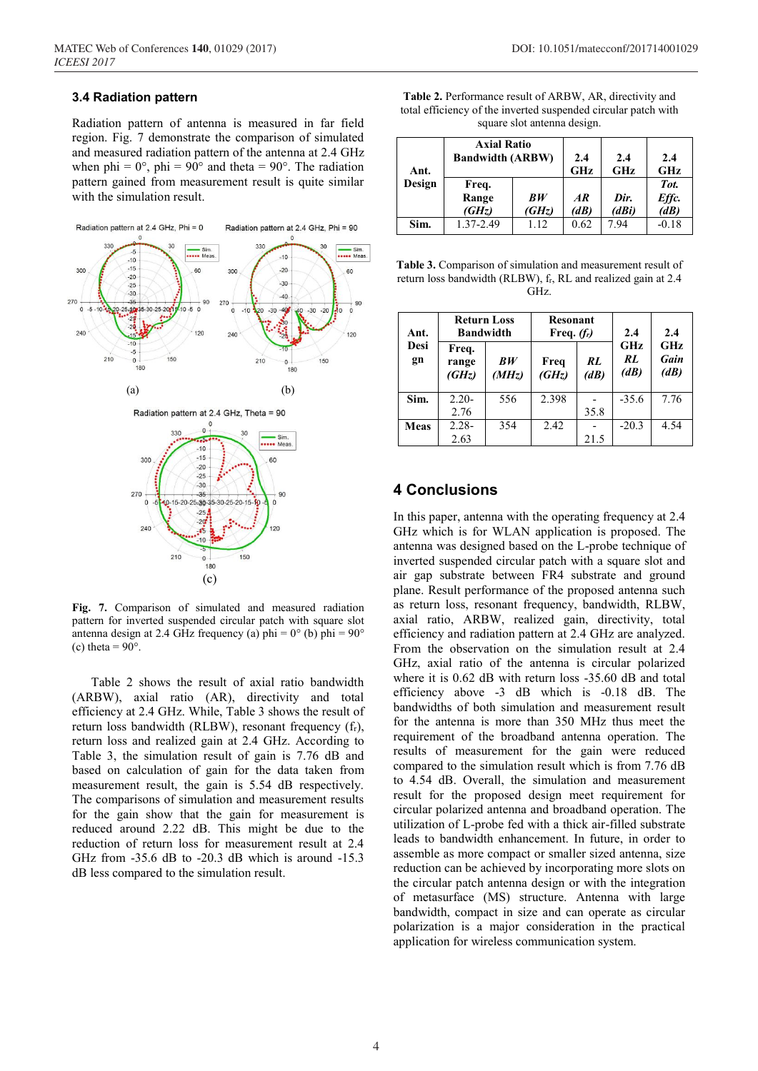#### **3.4 Radiation pattern**

Radiation pattern of antenna is measured in far field region. Fig. 7 demonstrate the comparison of simulated and measured radiation pattern of the antenna at 2.4 GHz when phi =  $0^{\circ}$ , phi =  $90^{\circ}$  and theta =  $90^{\circ}$ . The radiation pattern gained from measurement result is quite similar with the simulation result.

![](_page_3_Figure_4.jpeg)

**Fig. 7.** Comparison of simulated and measured radiation pattern for inverted suspended circular patch with square slot antenna design at 2.4 GHz frequency (a) phi =  $0^{\circ}$  (b) phi =  $90^{\circ}$ (c) theta =  $90^\circ$ .

 Table 2 shows the result of axial ratio bandwidth (ARBW), axial ratio (AR), directivity and total efficiency at 2.4 GHz. While, Table 3 shows the result of return loss bandwidth (RLBW), resonant frequency  $(f_r)$ , return loss and realized gain at 2.4 GHz. According to Table 3, the simulation result of gain is 7.76 dB and based on calculation of gain for the data taken from measurement result, the gain is 5.54 dB respectively. The comparisons of simulation and measurement results for the gain show that the gain for measurement is reduced around 2.22 dB. This might be due to the reduction of return loss for measurement result at 2.4 GHz from -35.6 dB to -20.3 dB which is around -15.3 dB less compared to the simulation result.

**Table 2.** Performance result of ARBW, AR, directivity and total efficiency of the inverted suspended circular patch with square slot antenna design.

| Ant.   | <b>Axial Ratio</b><br><b>Bandwidth (ARBW)</b> | 2.4<br>GHz | 2.4<br>GHz | 2.4<br><b>GHz</b> |                 |
|--------|-----------------------------------------------|------------|------------|-------------------|-----------------|
| Design | Freq.                                         |            |            |                   | Tot.            |
|        | Range                                         | BW         | AR         | Dir.              | Effc.           |
|        | (GHz)                                         | (GHz)      | (dB)       | (dBi)             | $\overline{AB}$ |
| Sim.   | 1.37-2.49                                     | 1 12       | 0.62       | 794               | $-0.18$         |

**Table 3.** Comparison of simulation and measurement result of return loss bandwidth (RLBW), fr, RL and realized gain at 2.4 GHz.

| Ant.       | <b>Return Loss</b><br><b>Bandwidth</b> |             | <b>Resonant</b><br>Freq. $(f_i)$ |            | 2.4               | 2.4                 |
|------------|----------------------------------------|-------------|----------------------------------|------------|-------------------|---------------------|
| Desi<br>gn | Freq.<br>range<br>(GHz)                | BW<br>(MHz) | Freq<br>(GHz)                    | RL<br>(dB) | GHz<br>RL<br>(dB) | GHz<br>Gain<br>(dB) |
| Sim.       | $2.20 -$                               | 556         | 2.398                            |            | $-35.6$           | 7.76                |
|            | 2.76                                   |             |                                  | 35.8       |                   |                     |
| Meas       | $2.28 -$                               | 354         | 2.42                             |            | $-20.3$           | 4.54                |
|            | 2.63                                   |             |                                  | 21.5       |                   |                     |

## **4 Conclusions**

In this paper, antenna with the operating frequency at 2.4 GHz which is for WLAN application is proposed. The antenna was designed based on the L-probe technique of inverted suspended circular patch with a square slot and air gap substrate between FR4 substrate and ground plane. Result performance of the proposed antenna such as return loss, resonant frequency, bandwidth, RLBW, axial ratio, ARBW, realized gain, directivity, total efficiency and radiation pattern at 2.4 GHz are analyzed. From the observation on the simulation result at 2.4 GHz, axial ratio of the antenna is circular polarized where it is 0.62 dB with return loss -35.60 dB and total efficiency above -3 dB which is -0.18 dB. The bandwidths of both simulation and measurement result for the antenna is more than 350 MHz thus meet the requirement of the broadband antenna operation. The results of measurement for the gain were reduced compared to the simulation result which is from 7.76 dB to 4.54 dB. Overall, the simulation and measurement result for the proposed design meet requirement for circular polarized antenna and broadband operation. The utilization of L-probe fed with a thick air-filled substrate leads to bandwidth enhancement. In future, in order to assemble as more compact or smaller sized antenna, size reduction can be achieved by incorporating more slots on the circular patch antenna design or with the integration of metasurface (MS) structure. Antenna with large bandwidth, compact in size and can operate as circular polarization is a major consideration in the practical application for wireless communication system.